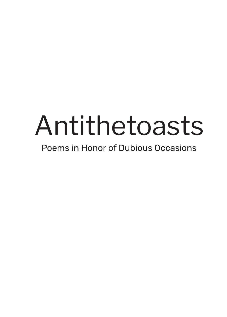# Antithetoasts

Poems in Honor of Dubious Occasions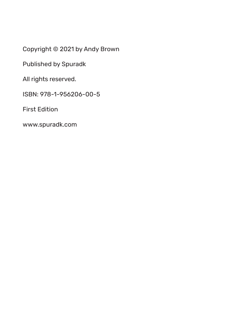Copyright © 2021 by Andy Brown

Published by Spuradk

All rights reserved.

ISBN: 978-1-956206-00-5

First Edition

www.spuradk.com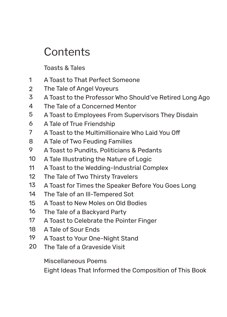# **Contents**

Toasts & Tales

- A Toast to That Perfect Someone 1
- The Tale of Angel Voyeurs 2
- A Toast to the Professor Who Should've Retired Long Ago 3
- The Tale of a Concerned Mentor 4
- A Toast to Employees From Supervisors They Disdain 5
- A Tale of True Friendship 6
- A Toast to the Multimillionaire Who Laid You Off 7
- A Tale of Two Feuding Families 8
- A Toast to Pundits, Politicians & Pedants 9
- A Tale Illustrating the Nature of Logic 10
- A Toast to the Wedding-Industrial Complex 11
- The Tale of Two Thirsty Travelers 12
- A Toast for Times the Speaker Before You Goes Long 13
- The Tale of an Ill-Tempered Sot 14
- A Toast to New Moles on Old Bodies 15
- The Tale of a Backyard Party 16
- A Toast to Celebrate the Pointer Finger 17
- A Tale of Sour Ends 18
- A Toast to Your One-Night Stand 19
- The Tale of a Graveside Visit 20

Miscellaneous Poems

Eight Ideas That Informed the Composition of This Book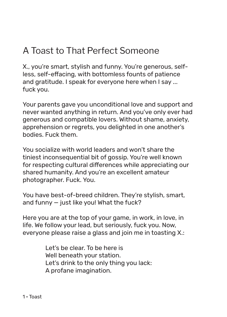# A Toast to That Perfect Someone

X., you're smart, stylish and funny. You're generous, selfless, self-effacing, with bottomless founts of patience and gratitude. I speak for everyone here when I say ... fuck you.

Your parents gave you unconditional love and support and never wanted anything in return. And you've only ever had generous and compatible lovers. Without shame, anxiety, apprehension or regrets, you delighted in one another's bodies. Fuck them.

You socialize with world leaders and won't share the tiniest inconsequential bit of gossip. You're well known for respecting cultural differences while appreciating our shared humanity. And you're an excellent amateur photographer. Fuck. You.

You have best-of-breed children. They're stylish, smart, and funny — just like you! What the fuck?

Here you are at the top of your game, in work, in love, in life. We follow your lead, but seriously, fuck you. Now, everyone please raise a glass and join me in toasting X.:

> Let's be clear. To be here is Well beneath your station. Let's drink to the only thing you lack: A profane imagination.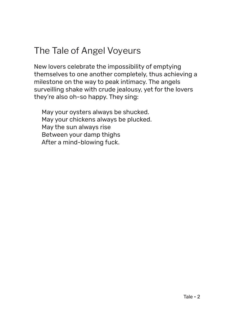# The Tale of Angel Voyeurs

New lovers celebrate the impossibility of emptying themselves to one another completely, thus achieving a milestone on the way to peak intimacy. The angels surveilling shake with crude jealousy, yet for the lovers they're also oh-so happy. They sing:

 May your oysters always be shucked. May your chickens always be plucked. May the sun always rise Between your damp thighs After a mind-blowing fuck.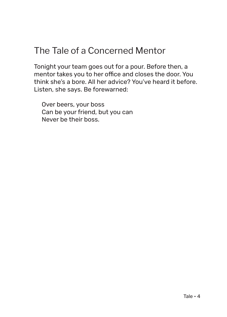#### The Tale of a Concerned Mentor

Tonight your team goes out for a pour. Before then, a mentor takes you to her office and closes the door. You think she's a bore. All her advice? You've heard it before. Listen, she says. Be forewarned:

 Over beers, your boss Can be your friend, but you can Never be their boss.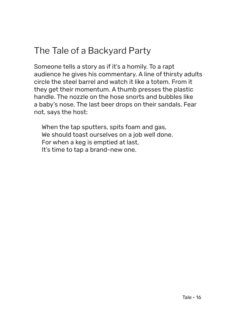# The Tale of a Backyard Party

Someone tells a story as if it's a homily. To a rapt audience he gives his commentary. A line of thirsty adults circle the steel barrel and watch it like a totem. From it they get their momentum. A thumb presses the plastic handle. The nozzle on the hose snorts and bubbles like a baby's nose. The last beer drops on their sandals. Fear not, says the host:

 When the tap sputters, spits foam and gas, We should toast ourselves on a job well done. For when a keg is emptied at last, It's time to tap a brand-new one.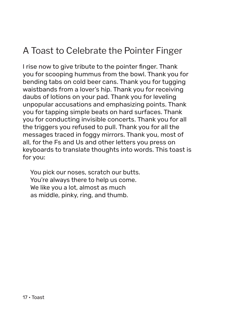# A Toast to Celebrate the Pointer Finger

I rise now to give tribute to the pointer finger. Thank you for scooping hummus from the bowl. Thank you for bending tabs on cold beer cans. Thank you for tugging waistbands from a lover's hip. Thank you for receiving daubs of lotions on your pad. Thank you for leveling unpopular accusations and emphasizing points. Thank you for tapping simple beats on hard surfaces. Thank you for conducting invisible concerts. Thank you for all the triggers you refused to pull. Thank you for all the messages traced in foggy mirrors. Thank you, most of all, for the Fs and Us and other letters you press on keyboards to translate thoughts into words. This toast is for you:

 You pick our noses, scratch our butts. You're always there to help us come. We like you a lot, almost as much as middle, pinky, ring, and thumb.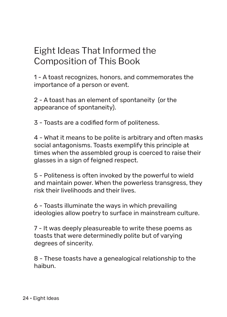# Eight Ideas That Informed the Composition of This Book

1 - A toast recognizes, honors, and commemorates the importance of a person or event.

2 - A toast has an element of spontaneity (or the appearance of spontaneity).

3 - Toasts are a codified form of politeness.

4 - What it means to be polite is arbitrary and often masks social antagonisms. Toasts exemplify this principle at times when the assembled group is coerced to raise their glasses in a sign of feigned respect.

5 - Politeness is often invoked by the powerful to wield and maintain power. When the powerless transgress, they risk their livelihoods and their lives.

6 - Toasts illuminate the ways in which prevailing ideologies allow poetry to surface in mainstream culture.

7 - It was deeply pleasureable to write these poems as toasts that were determinedly polite but of varying degrees of sincerity.

8 - These toasts have a genealogical relationship to the haibun.